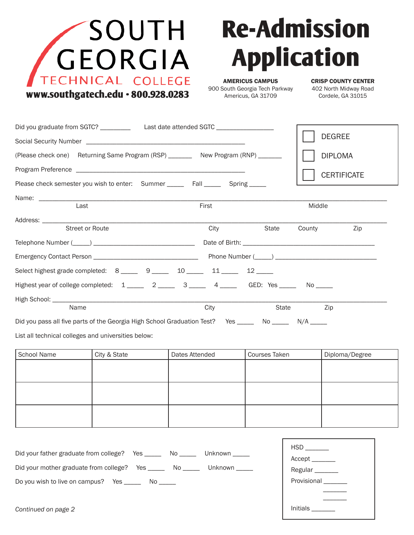

## **Re-Admission Application**

Initials \_\_\_\_\_\_\_

AMERICUS CAMPUS 900 South Georgia Tech Parkway Americus, GA 31709

CRISP COUNTY CENTER 402 North Midway Road Cordele, GA 31015

| Did you graduate from SGTC? _____________________Last date attended SGTC ___________________________  |              |                |  |               |                     | <b>DEGREE</b>      |  |
|-------------------------------------------------------------------------------------------------------|--------------|----------------|--|---------------|---------------------|--------------------|--|
|                                                                                                       |              |                |  |               |                     |                    |  |
| (Please check one) Returning Same Program (RSP) _________ New Program (RNP) _______                   |              |                |  |               |                     | <b>DIPLOMA</b>     |  |
|                                                                                                       |              |                |  |               |                     | <b>CERTIFICATE</b> |  |
| Please check semester you wish to enter: Summer Fall Fall Spring                                      |              |                |  |               |                     |                    |  |
|                                                                                                       |              |                |  |               |                     |                    |  |
| Last                                                                                                  |              | First          |  |               | Middle              |                    |  |
|                                                                                                       |              | City           |  | State         | County              | Zip                |  |
| <b>Street or Route</b>                                                                                |              |                |  |               |                     |                    |  |
|                                                                                                       |              |                |  |               |                     |                    |  |
|                                                                                                       |              |                |  |               |                     |                    |  |
| Select highest grade completed: 8 _____ 9 ____ 10 ____ 11 ____ 12 ____                                |              |                |  |               |                     |                    |  |
| Highest year of college completed: 1 ______ 2 ______ 3 _____ 4 _____ GED: Yes _____ No ____           |              |                |  |               |                     |                    |  |
|                                                                                                       |              |                |  |               |                     |                    |  |
| Name                                                                                                  |              | City           |  | State         |                     | Zip                |  |
| Did you pass all five parts of the Georgia High School Graduation Test? Yes ______ No ______ N/A ____ |              |                |  |               |                     |                    |  |
| List all technical colleges and universities below:                                                   |              |                |  |               |                     |                    |  |
| <b>School Name</b>                                                                                    | City & State | Dates Attended |  | Courses Taken |                     | Diploma/Degree     |  |
|                                                                                                       |              |                |  |               |                     |                    |  |
|                                                                                                       |              |                |  |               |                     |                    |  |
|                                                                                                       |              |                |  |               |                     |                    |  |
|                                                                                                       |              |                |  |               |                     |                    |  |
|                                                                                                       |              |                |  |               |                     |                    |  |
|                                                                                                       |              |                |  |               |                     |                    |  |
|                                                                                                       |              |                |  |               |                     |                    |  |
| Did your father graduate from college? Yes ______ No _____ Unknown _____                              |              |                |  |               |                     | Accept _______     |  |
| Did your mother graduate from college? Yes ______ No _____ Unknown _____                              |              |                |  |               |                     | Regular_______     |  |
| Do you wish to live on campus? Yes _______ No _____                                                   |              |                |  |               | Provisional _______ |                    |  |
|                                                                                                       |              |                |  |               |                     |                    |  |